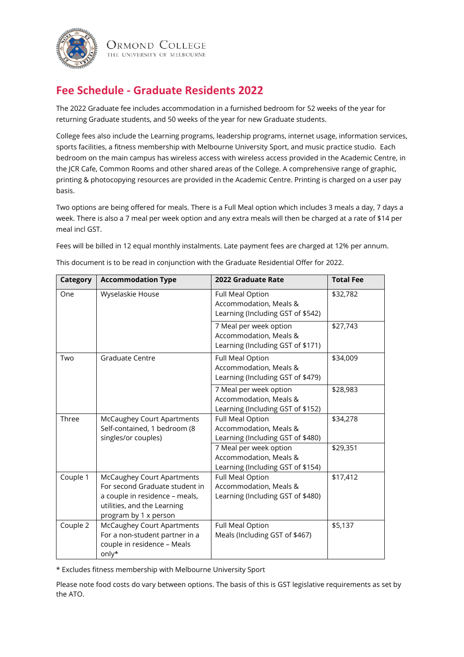

Ormond College THE UNIVERSITY OF MELBOURNE

## **Fee Schedule - Graduate Residents 2022**

The 2022 Graduate fee includes accommodation in a furnished bedroom for 52 weeks of the year for returning Graduate students, and 50 weeks of the year for new Graduate students.

College fees also include the Learning programs, leadership programs, internet usage, information services, sports facilities, a fitness membership with Melbourne University Sport, and music practice studio. Each bedroom on the main campus has wireless access with wireless access provided in the Academic Centre, in the JCR Cafe, Common Rooms and other shared areas of the College. A comprehensive range of graphic, printing & photocopying resources are provided in the Academic Centre. Printing is charged on a user pay basis.

Two options are being offered for meals. There is a Full Meal option which includes 3 meals a day, 7 days a week. There is also a 7 meal per week option and any extra meals will then be charged at a rate of \$14 per meal incl GST.

Fees will be billed in 12 equal monthly instalments. Late payment fees are charged at 12% per annum.

| Category | <b>Accommodation Type</b>                                                                                                                                     | 2022 Graduate Rate                                                                    | <b>Total Fee</b> |
|----------|---------------------------------------------------------------------------------------------------------------------------------------------------------------|---------------------------------------------------------------------------------------|------------------|
| One      | Wyselaskie House                                                                                                                                              | Full Meal Option<br>Accommodation, Meals &<br>Learning (Including GST of \$542)       | \$32,782         |
|          |                                                                                                                                                               | 7 Meal per week option<br>Accommodation, Meals &<br>Learning (Including GST of \$171) | \$27,743         |
| Two      | Graduate Centre                                                                                                                                               | Full Meal Option<br>Accommodation, Meals &<br>Learning (Including GST of \$479)       | \$34,009         |
|          |                                                                                                                                                               | 7 Meal per week option<br>Accommodation, Meals &<br>Learning (Including GST of \$152) | \$28,983         |
| Three    | <b>McCaughey Court Apartments</b><br>Self-contained, 1 bedroom (8<br>singles/or couples)                                                                      | Full Meal Option<br>Accommodation, Meals &<br>Learning (Including GST of \$480)       | \$34,278         |
|          |                                                                                                                                                               | 7 Meal per week option<br>Accommodation, Meals &<br>Learning (Including GST of \$154) | \$29,351         |
| Couple 1 | <b>McCaughey Court Apartments</b><br>For second Graduate student in<br>a couple in residence - meals,<br>utilities, and the Learning<br>program by 1 x person | Full Meal Option<br>Accommodation, Meals &<br>Learning (Including GST of \$480)       | \$17,412         |
| Couple 2 | <b>McCaughey Court Apartments</b><br>For a non-student partner in a<br>couple in residence - Meals<br>only*                                                   | Full Meal Option<br>Meals (Including GST of \$467)                                    | \$5,137          |

This document is to be read in conjunction with the Graduate Residential Offer for 2022.

\* Excludes fitness membership with Melbourne University Sport

Please note food costs do vary between options. The basis of this is GST legislative requirements as set by the ATO.